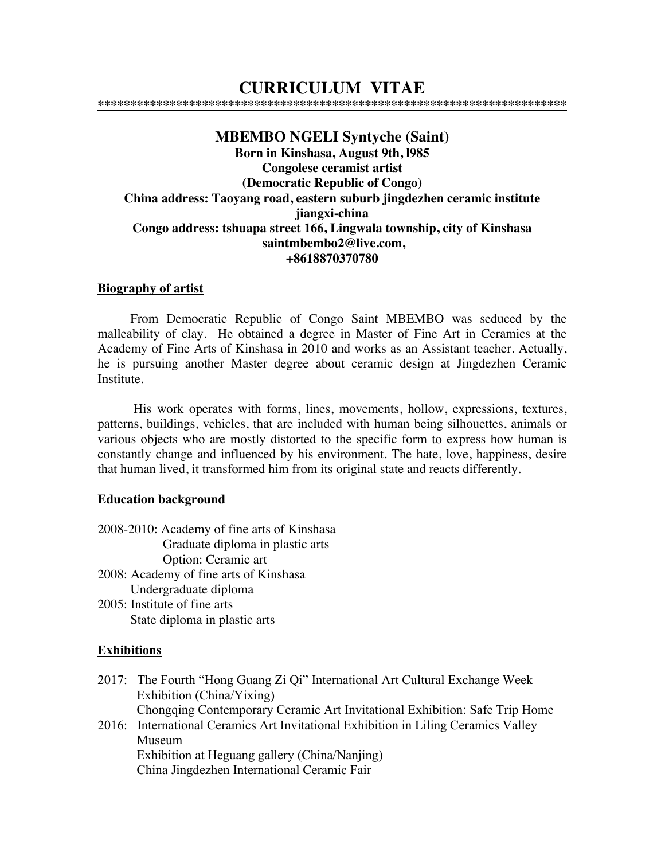# **CURRICULUM VITAE**

**\*\*\*\*\*\*\*\*\*\*\*\*\*\*\*\*\*\*\*\*\*\*\*\*\*\*\*\*\*\*\*\*\*\*\*\*\*\*\*\*\*\*\*\*\*\*\*\*\*\*\*\*\*\*\*\*\*\*\*\*\*\*\*\*\*\*\*\*\*\*\*\***

# **MBEMBO NGELI Syntyche (Saint) Born in Kinshasa, August 9th, l985 Congolese ceramist artist (Democratic Republic of Congo) China address: Taoyang road, eastern suburb jingdezhen ceramic institute jiangxi-china Congo address: tshuapa street 166, Lingwala township, city of Kinshasa saintmbembo2@live.com, +8618870370780**

#### **Biography of artist**

From Democratic Republic of Congo Saint MBEMBO was seduced by the malleability of clay. He obtained a degree in Master of Fine Art in Ceramics at the Academy of Fine Arts of Kinshasa in 2010 and works as an Assistant teacher. Actually, he is pursuing another Master degree about ceramic design at Jingdezhen Ceramic Institute.

 His work operates with forms, lines, movements, hollow, expressions, textures, patterns, buildings, vehicles, that are included with human being silhouettes, animals or various objects who are mostly distorted to the specific form to express how human is constantly change and influenced by his environment. The hate, love, happiness, desire that human lived, it transformed him from its original state and reacts differently.

#### **Education background**

2008-2010: Academy of fine arts of Kinshasa Graduate diploma in plastic arts Option: Ceramic art 2008: Academy of fine arts of Kinshasa Undergraduate diploma 2005: Institute of fine arts State diploma in plastic arts

#### **Exhibitions**

- 2017: The Fourth "Hong Guang Zi Qi" International Art Cultural Exchange Week Exhibition (China/Yixing) Chongqing Contemporary Ceramic Art Invitational Exhibition: Safe Trip Home
- 2016: International Ceramics Art Invitational Exhibition in Liling Ceramics Valley Museum Exhibition at Heguang gallery (China/Nanjing) China Jingdezhen International Ceramic Fair